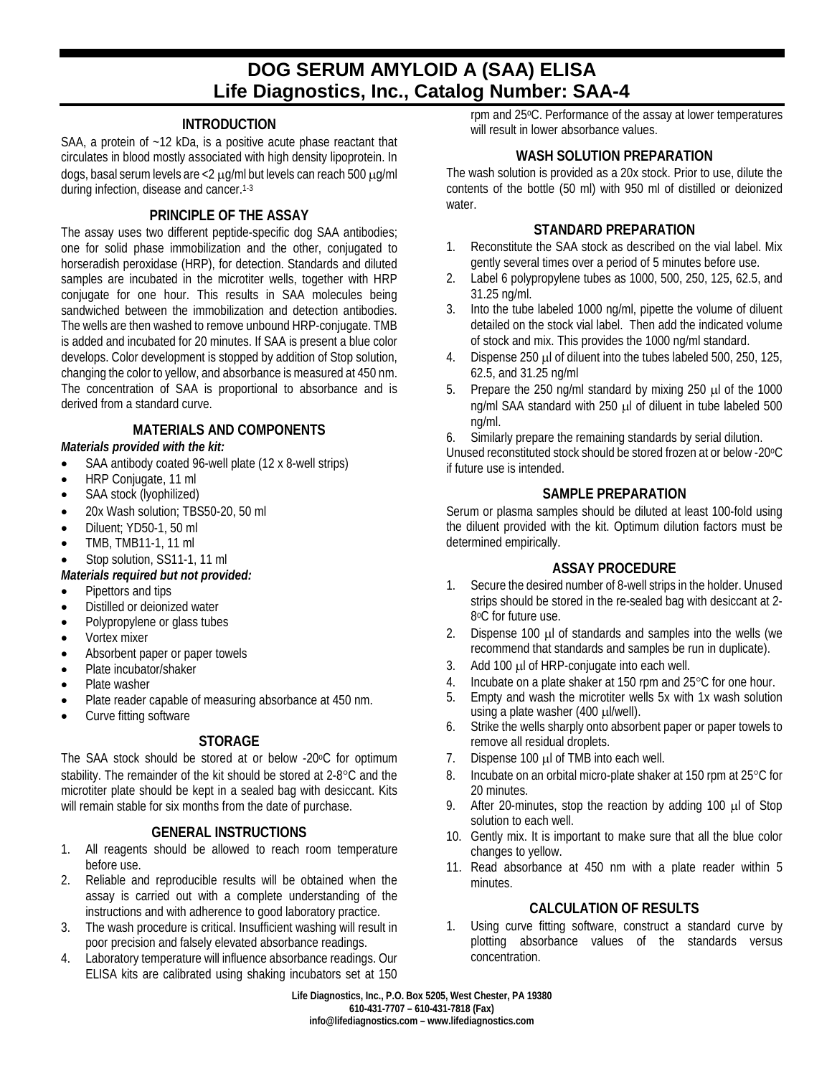# **DOG SERUM AMYLOID A (SAA) ELISA Life Diagnostics, Inc., Catalog Number: SAA-4**

## **INTRODUCTION**

SAA, a protein of ~12 kDa, is a positive acute phase reactant that circulates in blood mostly associated with high density lipoprotein. In dogs, basal serum levels are <2 µg/ml but levels can reach 500 µg/ml during infection, disease and cancer. 1-3

### **PRINCIPLE OF THE ASSAY**

The assay uses two different peptide-specific dog SAA antibodies; one for solid phase immobilization and the other, conjugated to horseradish peroxidase (HRP), for detection. Standards and diluted samples are incubated in the microtiter wells, together with HRP conjugate for one hour. This results in SAA molecules being sandwiched between the immobilization and detection antibodies. The wells are then washed to remove unbound HRP-conjugate. TMB is added and incubated for 20 minutes. If SAA is present a blue color develops. Color development is stopped by addition of Stop solution, changing the color to yellow, and absorbance is measured at 450 nm. The concentration of SAA is proportional to absorbance and is derived from a standard curve.

# **MATERIALS AND COMPONENTS**

- *Materials provided with the kit:*
- SAA antibody coated 96-well plate (12 x 8-well strips)
- HRP Conjugate, 11 ml
- SAA stock (lyophilized)
- 20x Wash solution: TBS50-20, 50 ml
- Diluent: YD50-1, 50 ml
- TMB, TMB11-1, 11 ml
- Stop solution, SS11-1, 11 ml

### *Materials required but not provided:*

- Pipettors and tips
- Distilled or deionized water
- Polypropylene or glass tubes
- Vortex mixer
- Absorbent paper or paper towels
- Plate incubator/shaker
- Plate washer
- Plate reader capable of measuring absorbance at 450 nm.
- Curve fitting software

# **STORAGE**

The SAA stock should be stored at or below -20°C for optimum stability. The remainder of the kit should be stored at 2-8°C and the microtiter plate should be kept in a sealed bag with desiccant. Kits will remain stable for six months from the date of purchase.

# **GENERAL INSTRUCTIONS**

- 1. All reagents should be allowed to reach room temperature before use.
- 2. Reliable and reproducible results will be obtained when the assay is carried out with a complete understanding of the instructions and with adherence to good laboratory practice.
- 3. The wash procedure is critical. Insufficient washing will result in poor precision and falsely elevated absorbance readings.
- 4. Laboratory temperature will influence absorbance readings. Our ELISA kits are calibrated using shaking incubators set at 150

rpm and 25oC. Performance of the assay at lower temperatures will result in lower absorbance values.

## **WASH SOLUTION PREPARATION**

The wash solution is provided as a 20x stock. Prior to use, dilute the contents of the bottle (50 ml) with 950 ml of distilled or deionized water.

### **STANDARD PREPARATION**

- 1. Reconstitute the SAA stock as described on the vial label. Mix gently several times over a period of 5 minutes before use.
- 2. Label 6 polypropylene tubes as 1000, 500, 250, 125, 62.5, and 31.25 ng/ml.
- 3. Into the tube labeled 1000 ng/ml, pipette the volume of diluent detailed on the stock vial label. Then add the indicated volume of stock and mix. This provides the 1000 ng/ml standard.
- 4. Dispense 250 µl of diluent into the tubes labeled 500, 250, 125, 62.5, and 31.25 ng/ml
- 5. Prepare the 250 ng/ml standard by mixing 250 µl of the 1000 ng/ml SAA standard with 250 µl of diluent in tube labeled 500 ng/ml.
- 6. Similarly prepare the remaining standards by serial dilution.

Unused reconstituted stock should be stored frozen at or below -20oC if future use is intended.

# **SAMPLE PREPARATION**

Serum or plasma samples should be diluted at least 100-fold using the diluent provided with the kit. Optimum dilution factors must be determined empirically.

### **ASSAY PROCEDURE**

- 1. Secure the desired number of 8-well strips in the holder. Unused strips should be stored in the re-sealed bag with desiccant at 2- 8°C for future use.
- 2. Dispense 100 µl of standards and samples into the wells (we recommend that standards and samples be run in duplicate).
- 3. Add 100 µl of HRP-conjugate into each well.
- 4. Incubate on a plate shaker at 150 rpm and 25 °C for one hour.
- 5. Empty and wash the microtiter wells 5x with 1x wash solution using a plate washer (400 µl/well).
- 6. Strike the wells sharply onto absorbent paper or paper towels to remove all residual droplets.
- 7. Dispense 100 µl of TMB into each well.
- 8. Incubate on an orbital micro-plate shaker at 150 rpm at 25°C for 20 minutes.
- 9. After 20-minutes, stop the reaction by adding 100 µl of Stop solution to each well.
- 10. Gently mix. It is important to make sure that all the blue color changes to yellow.
- 11. Read absorbance at 450 nm with a plate reader within 5 minutes.

# **CALCULATION OF RESULTS**

1. Using curve fitting software, construct a standard curve by plotting absorbance values of the standards versus concentration.

**Life Diagnostics, Inc., P.O. Box 5205, West Chester, PA 19380 610-431-7707 – 610-431-7818 (Fax) info@lifediagnostics.com – www.lifediagnostics.com**